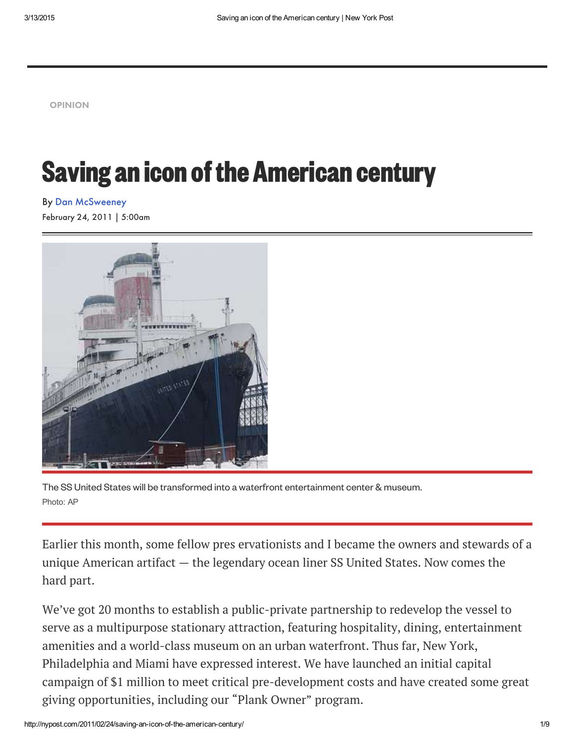[OPINION](http://nypost.com/opinion/)

## **Saving an icon of the American century**

February 24, 2011 | 5:00am By Dan [McSweeney](http://nypost.com/author/dan-mcsweeney/)



The SS United States will be transformed into a waterfront entertainment center & museum. Photo: AP

Earlier this month, some fellow pres ervationists and I became the owners [and](http://nypost.com/sports/) stewards of a unique American artifact — the legendary ocean liner SS United States. Now comes the hard part.

We've got 20 months to establish a public-private partnership to redevelop [the](http://nypost.com/business/) vessel to serve as a multipurpose stationary attraction, featuring hospitality, dining, [enter](http://nypost.com/opinion/)tainment amenities and a world-class museum on an urban waterfront. Thus far, New York, Philadelphia and Miami have expressed interest. We have launched an i[nitial](http://nypost.com/entertainment/) capital campaign of \$1 million to meet critical pre-development costs and have [created](http://nypost.com/fashion/) some great giving opportunities, including our "Plank Owner" program.